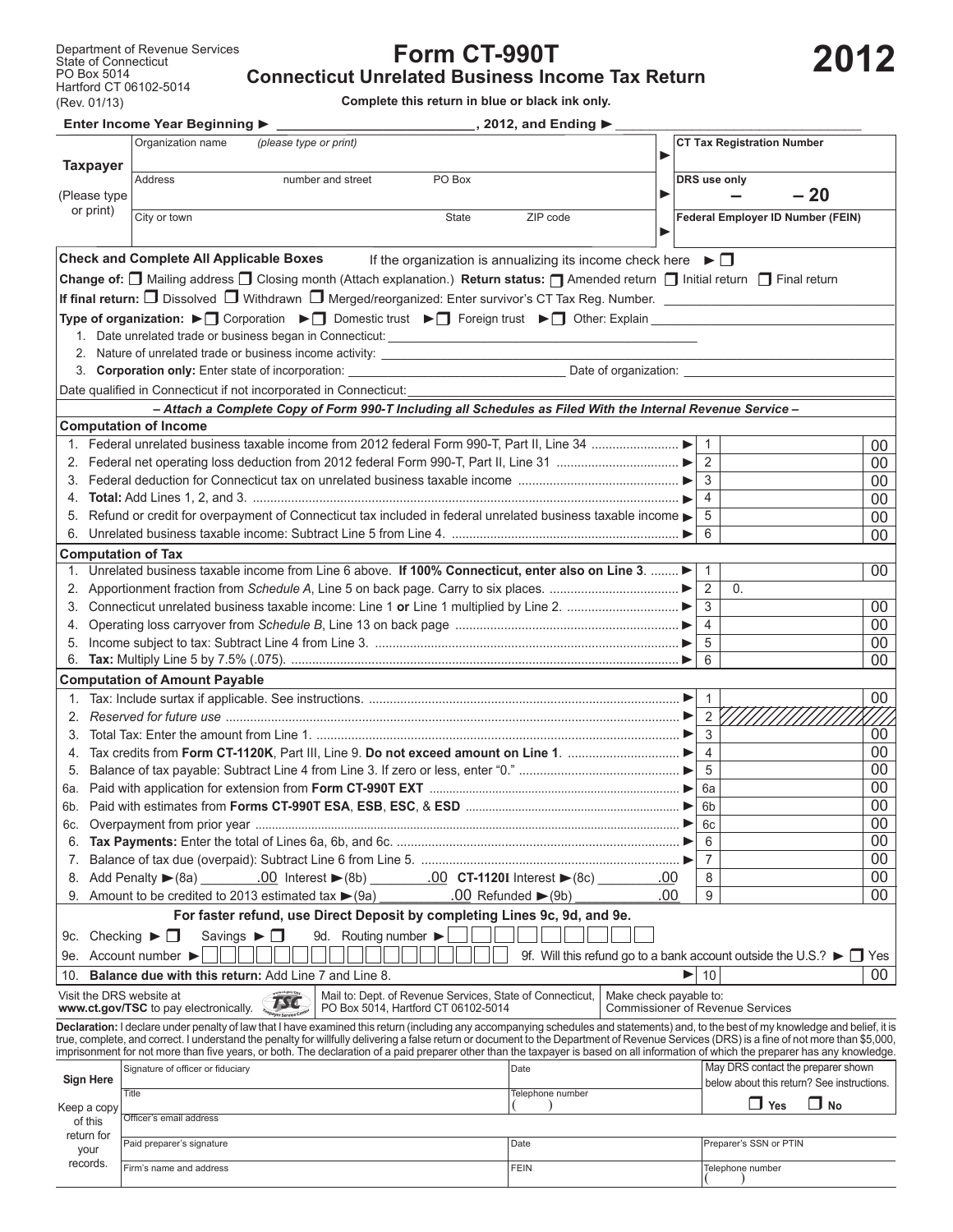## **Form CT-990T**

**Connecticut Unrelated Business Income Tax Return**

**Complete this return in blue or black ink only.**

|                                | Enter Income Year Beginning ▶<br>$\_$ , 2012, and Ending $▶$                                                                                                                                                                                                                                                                                                                                                                                                                                                                                                              |      |                                                                                            |              |
|--------------------------------|---------------------------------------------------------------------------------------------------------------------------------------------------------------------------------------------------------------------------------------------------------------------------------------------------------------------------------------------------------------------------------------------------------------------------------------------------------------------------------------------------------------------------------------------------------------------------|------|--------------------------------------------------------------------------------------------|--------------|
| <b>Taxpayer</b>                | Organization name<br>(please type or print)                                                                                                                                                                                                                                                                                                                                                                                                                                                                                                                               |      | <b>CT Tax Registration Number</b>                                                          |              |
| (Please type                   | <b>Address</b><br>PO Box<br>number and street                                                                                                                                                                                                                                                                                                                                                                                                                                                                                                                             |      | DRS use only<br>$-20$                                                                      |              |
| or print)                      | City or town<br><b>State</b><br>ZIP code                                                                                                                                                                                                                                                                                                                                                                                                                                                                                                                                  |      | <b>Federal Employer ID Number (FEIN)</b>                                                   |              |
|                                | <b>Check and Complete All Applicable Boxes</b><br>If the organization is annualizing its income check here $\blacktriangleright \Box$                                                                                                                                                                                                                                                                                                                                                                                                                                     |      |                                                                                            |              |
|                                | Change of: □ Mailing address □ Closing month (Attach explanation.) Return status: □ Amended return □ Initial return □ Final return                                                                                                                                                                                                                                                                                                                                                                                                                                        |      |                                                                                            |              |
|                                | If final return: $\Box$ Dissolved $\Box$ Withdrawn $\Box$ Merged/reorganized: Enter survivor's CT Tax Reg. Number.                                                                                                                                                                                                                                                                                                                                                                                                                                                        |      |                                                                                            |              |
|                                | Type of organization: ► Corporation ► Omestic trust ► T Foreign trust ► T Other: Explain                                                                                                                                                                                                                                                                                                                                                                                                                                                                                  |      |                                                                                            |              |
|                                | 1. Date unrelated trade or business began in Connecticut: ______________________                                                                                                                                                                                                                                                                                                                                                                                                                                                                                          |      |                                                                                            |              |
|                                | 2. Nature of unrelated trade or business income activity: ______________________                                                                                                                                                                                                                                                                                                                                                                                                                                                                                          |      |                                                                                            |              |
|                                | 3. Corporation only: Enter state of incorporation: _____________________________                                                                                                                                                                                                                                                                                                                                                                                                                                                                                          |      |                                                                                            |              |
|                                | Date qualified in Connecticut if not incorporated in Connecticut:                                                                                                                                                                                                                                                                                                                                                                                                                                                                                                         |      |                                                                                            |              |
|                                | - Attach a Complete Copy of Form 990-T Including all Schedules as Filed With the Internal Revenue Service-                                                                                                                                                                                                                                                                                                                                                                                                                                                                |      |                                                                                            |              |
|                                | <b>Computation of Income</b>                                                                                                                                                                                                                                                                                                                                                                                                                                                                                                                                              |      |                                                                                            |              |
|                                |                                                                                                                                                                                                                                                                                                                                                                                                                                                                                                                                                                           |      | $\mathbf{1}$                                                                               | $00\,$       |
|                                |                                                                                                                                                                                                                                                                                                                                                                                                                                                                                                                                                                           |      | 2                                                                                          | $00\,$       |
|                                |                                                                                                                                                                                                                                                                                                                                                                                                                                                                                                                                                                           |      | 3                                                                                          | $00\,$       |
|                                |                                                                                                                                                                                                                                                                                                                                                                                                                                                                                                                                                                           |      | $\overline{4}$                                                                             | $00\,$       |
|                                | 5. Refund or credit for overpayment of Connecticut tax included in federal unrelated business taxable income                                                                                                                                                                                                                                                                                                                                                                                                                                                              |      | 5                                                                                          | $00\,$       |
|                                |                                                                                                                                                                                                                                                                                                                                                                                                                                                                                                                                                                           |      | 6                                                                                          | 00           |
| <b>Computation of Tax</b>      |                                                                                                                                                                                                                                                                                                                                                                                                                                                                                                                                                                           |      |                                                                                            |              |
| 1.                             | Unrelated business taxable income from Line 6 above. If 100% Connecticut, enter also on Line 3.                                                                                                                                                                                                                                                                                                                                                                                                                                                                           |      | $\overline{1}$                                                                             | $00\,$       |
|                                |                                                                                                                                                                                                                                                                                                                                                                                                                                                                                                                                                                           |      | 2<br>0.                                                                                    |              |
| 3.                             |                                                                                                                                                                                                                                                                                                                                                                                                                                                                                                                                                                           |      | 3<br>$\overline{4}$                                                                        | 00<br>$00\,$ |
|                                |                                                                                                                                                                                                                                                                                                                                                                                                                                                                                                                                                                           |      | 5                                                                                          | $00\,$       |
| 6.                             |                                                                                                                                                                                                                                                                                                                                                                                                                                                                                                                                                                           |      | 6                                                                                          | 00           |
|                                | <b>Computation of Amount Payable</b>                                                                                                                                                                                                                                                                                                                                                                                                                                                                                                                                      |      |                                                                                            |              |
|                                |                                                                                                                                                                                                                                                                                                                                                                                                                                                                                                                                                                           |      | $\overline{1}$                                                                             | $00\,$       |
| 2.                             |                                                                                                                                                                                                                                                                                                                                                                                                                                                                                                                                                                           |      | $2^{2}$                                                                                    |              |
| 3.                             |                                                                                                                                                                                                                                                                                                                                                                                                                                                                                                                                                                           |      | 3                                                                                          | 00           |
| 4.                             |                                                                                                                                                                                                                                                                                                                                                                                                                                                                                                                                                                           |      | $\overline{4}$                                                                             | $00\,$       |
| 5.                             |                                                                                                                                                                                                                                                                                                                                                                                                                                                                                                                                                                           |      | 5                                                                                          | 00           |
|                                |                                                                                                                                                                                                                                                                                                                                                                                                                                                                                                                                                                           |      | 6a                                                                                         | $00\,$       |
|                                |                                                                                                                                                                                                                                                                                                                                                                                                                                                                                                                                                                           |      |                                                                                            | $00\,$       |
| 6c.                            |                                                                                                                                                                                                                                                                                                                                                                                                                                                                                                                                                                           |      | 6c                                                                                         | 00           |
| 6.                             |                                                                                                                                                                                                                                                                                                                                                                                                                                                                                                                                                                           |      | 6                                                                                          | $00\,$       |
| 7.                             |                                                                                                                                                                                                                                                                                                                                                                                                                                                                                                                                                                           |      | 7                                                                                          | 00           |
| 8.                             | Add Penalty ► (8a)<br>.00                                                                                                                                                                                                                                                                                                                                                                                                                                                                                                                                                 |      | 8                                                                                          | $00\,$       |
|                                | .00 Refunded $\blacktriangleright$ (9b)<br>Amount to be credited to 2013 estimated tax $\blacktriangleright$ (9a)                                                                                                                                                                                                                                                                                                                                                                                                                                                         | .00. | 9                                                                                          | 00           |
|                                | For faster refund, use Direct Deposit by completing Lines 9c, 9d, and 9e.                                                                                                                                                                                                                                                                                                                                                                                                                                                                                                 |      |                                                                                            |              |
| 9c.                            | 9d. Routing number<br>Checking $\blacktriangleright \Box$<br>Savings $\blacktriangleright \Box$                                                                                                                                                                                                                                                                                                                                                                                                                                                                           |      |                                                                                            |              |
| 9e. Account number             |                                                                                                                                                                                                                                                                                                                                                                                                                                                                                                                                                                           |      | 9f. Will this refund go to a bank account outside the U.S.? $\blacktriangleright \Box$ Yes |              |
| 10.                            | Balance due with this return: Add Line 7 and Line 8.                                                                                                                                                                                                                                                                                                                                                                                                                                                                                                                      |      | 10                                                                                         | 00           |
| Visit the DRS website at       | Mail to: Dept. of Revenue Services, State of Connecticut,<br>Make check payable to:<br><b>TSC</b>                                                                                                                                                                                                                                                                                                                                                                                                                                                                         |      |                                                                                            |              |
|                                | www.ct.gov/TSC to pay electronically.<br>PO Box 5014, Hartford CT 06102-5014<br><b>Payer Service Cente</b>                                                                                                                                                                                                                                                                                                                                                                                                                                                                |      | <b>Commissioner of Revenue Services</b>                                                    |              |
|                                | Declaration: I declare under penalty of law that I have examined this return (including any accompanying schedules and statements) and, to the best of my knowledge and belief, it is<br>true, complete, and correct. I understand the penalty for willfully delivering a false return or document to the Department of Revenue Services (DRS) is a fine of not more than \$5,000,<br>imprisonment for not more than five years, or both. The declaration of a paid preparer other than the taxpayer is based on all information of which the preparer has any knowledge. |      |                                                                                            |              |
| <b>Sign Here</b>               | Signature of officer or fiduciary<br>Date                                                                                                                                                                                                                                                                                                                                                                                                                                                                                                                                 |      | May DRS contact the preparer shown                                                         |              |
|                                | Telephone number<br>Title                                                                                                                                                                                                                                                                                                                                                                                                                                                                                                                                                 |      | below about this return? See instructions.                                                 |              |
| Кеер а сору                    |                                                                                                                                                                                                                                                                                                                                                                                                                                                                                                                                                                           |      | $\square$ No<br>$\Box$ Yes                                                                 |              |
| of this                        | Officer's email address                                                                                                                                                                                                                                                                                                                                                                                                                                                                                                                                                   |      |                                                                                            |              |
| return for<br>your<br>records. | Date<br>Paid preparer's signature                                                                                                                                                                                                                                                                                                                                                                                                                                                                                                                                         |      | Preparer's SSN or PTIN                                                                     |              |
|                                | <b>FEIN</b><br>Firm's name and address                                                                                                                                                                                                                                                                                                                                                                                                                                                                                                                                    |      | Telephone number                                                                           |              |